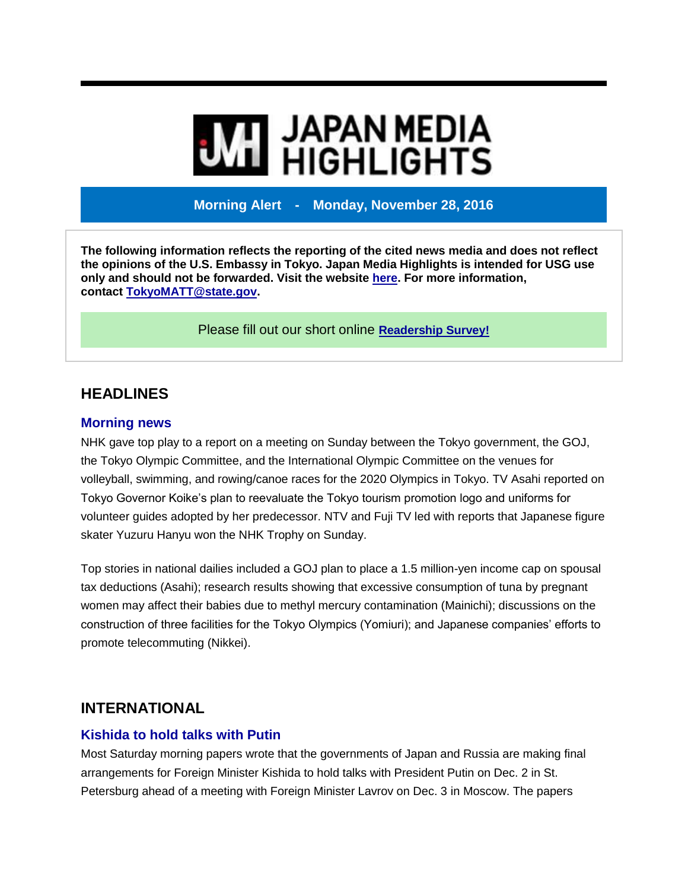# **MI** JAPAN MEDIA<br>MI HIGHLIGHTS

**Morning Alert - Monday, November 28, 2016**

**The following information reflects the reporting of the cited news media and does not reflect the opinions of the U.S. Embassy in Tokyo. Japan Media Highlights is intended for USG use only and should not be forwarded. Visit the website [here.](https://jmh.usembassy.gov/) For more information, contact [TokyoMATT@state.gov.](mailto:TokyoMATT@state.gov)**

Please fill out our short online **[Readership](https://jmh.usembassy.gov/readership-survey/) Survey!**

# **HEADLINES**

#### **Morning news**

NHK gave top play to a report on a meeting on Sunday between the Tokyo government, the GOJ, the Tokyo Olympic Committee, and the International Olympic Committee on the venues for volleyball, swimming, and rowing/canoe races for the 2020 Olympics in Tokyo. TV Asahi reported on Tokyo Governor Koike's plan to reevaluate the Tokyo tourism promotion logo and uniforms for volunteer guides adopted by her predecessor. NTV and Fuji TV led with reports that Japanese figure skater Yuzuru Hanyu won the NHK Trophy on Sunday.

Top stories in national dailies included a GOJ plan to place a 1.5 million-yen income cap on spousal tax deductions (Asahi); research results showing that excessive consumption of tuna by pregnant women may affect their babies due to methyl mercury contamination (Mainichi); discussions on the construction of three facilities for the Tokyo Olympics (Yomiuri); and Japanese companies' efforts to promote telecommuting (Nikkei).

# **INTERNATIONAL**

## **Kishida to hold talks with Putin**

Most Saturday morning papers wrote that the governments of Japan and Russia are making final arrangements for Foreign Minister Kishida to hold talks with President Putin on Dec. 2 in St. Petersburg ahead of a meeting with Foreign Minister Lavrov on Dec. 3 in Moscow. The papers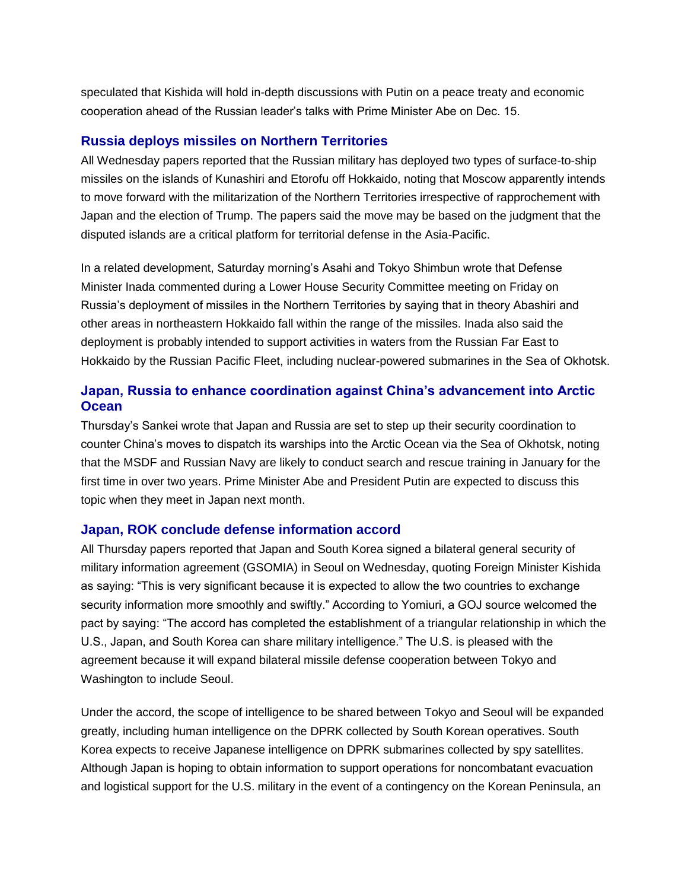speculated that Kishida will hold in-depth discussions with Putin on a peace treaty and economic cooperation ahead of the Russian leader's talks with Prime Minister Abe on Dec. 15.

## **Russia deploys missiles on Northern Territories**

All Wednesday papers reported that the Russian military has deployed two types of surface-to-ship missiles on the islands of Kunashiri and Etorofu off Hokkaido, noting that Moscow apparently intends to move forward with the militarization of the Northern Territories irrespective of rapprochement with Japan and the election of Trump. The papers said the move may be based on the judgment that the disputed islands are a critical platform for territorial defense in the Asia-Pacific.

In a related development, Saturday morning's Asahi and Tokyo Shimbun wrote that Defense Minister Inada commented during a Lower House Security Committee meeting on Friday on Russia's deployment of missiles in the Northern Territories by saying that in theory Abashiri and other areas in northeastern Hokkaido fall within the range of the missiles. Inada also said the deployment is probably intended to support activities in waters from the Russian Far East to Hokkaido by the Russian Pacific Fleet, including nuclear-powered submarines in the Sea of Okhotsk.

## **Japan, Russia to enhance coordination against China's advancement into Arctic Ocean**

Thursday's Sankei wrote that Japan and Russia are set to step up their security coordination to counter China's moves to dispatch its warships into the Arctic Ocean via the Sea of Okhotsk, noting that the MSDF and Russian Navy are likely to conduct search and rescue training in January for the first time in over two years. Prime Minister Abe and President Putin are expected to discuss this topic when they meet in Japan next month.

#### **Japan, ROK conclude defense information accord**

All Thursday papers reported that Japan and South Korea signed a bilateral general security of military information agreement (GSOMIA) in Seoul on Wednesday, quoting Foreign Minister Kishida as saying: "This is very significant because it is expected to allow the two countries to exchange security information more smoothly and swiftly." According to Yomiuri, a GOJ source welcomed the pact by saying: "The accord has completed the establishment of a triangular relationship in which the U.S., Japan, and South Korea can share military intelligence." The U.S. is pleased with the agreement because it will expand bilateral missile defense cooperation between Tokyo and Washington to include Seoul.

Under the accord, the scope of intelligence to be shared between Tokyo and Seoul will be expanded greatly, including human intelligence on the DPRK collected by South Korean operatives. South Korea expects to receive Japanese intelligence on DPRK submarines collected by spy satellites. Although Japan is hoping to obtain information to support operations for noncombatant evacuation and logistical support for the U.S. military in the event of a contingency on the Korean Peninsula, an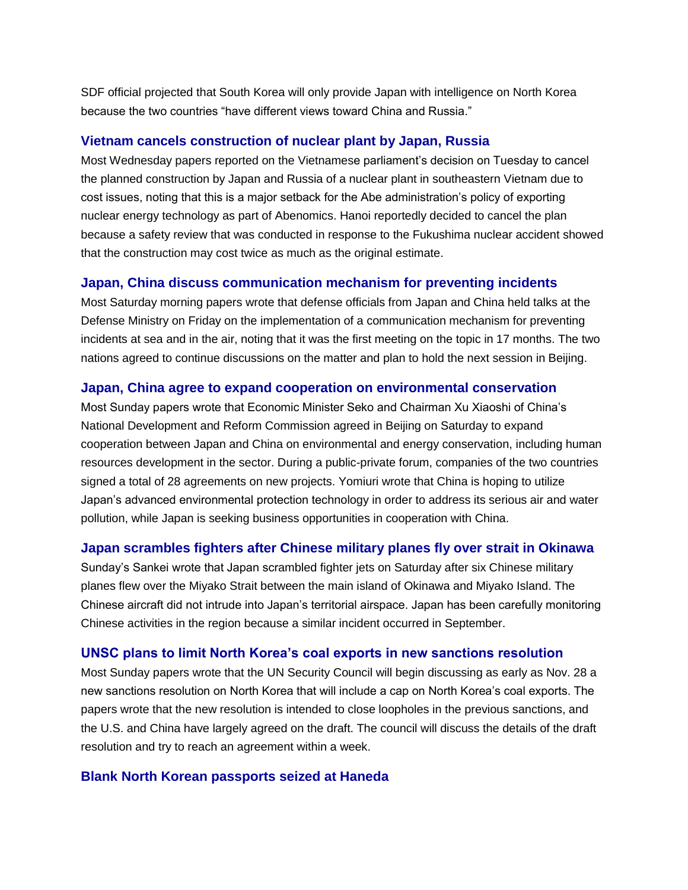SDF official projected that South Korea will only provide Japan with intelligence on North Korea because the two countries "have different views toward China and Russia."

## **Vietnam cancels construction of nuclear plant by Japan, Russia**

Most Wednesday papers reported on the Vietnamese parliament's decision on Tuesday to cancel the planned construction by Japan and Russia of a nuclear plant in southeastern Vietnam due to cost issues, noting that this is a major setback for the Abe administration's policy of exporting nuclear energy technology as part of Abenomics. Hanoi reportedly decided to cancel the plan because a safety review that was conducted in response to the Fukushima nuclear accident showed that the construction may cost twice as much as the original estimate.

## **Japan, China discuss communication mechanism for preventing incidents**

Most Saturday morning papers wrote that defense officials from Japan and China held talks at the Defense Ministry on Friday on the implementation of a communication mechanism for preventing incidents at sea and in the air, noting that it was the first meeting on the topic in 17 months. The two nations agreed to continue discussions on the matter and plan to hold the next session in Beijing.

#### **Japan, China agree to expand cooperation on environmental conservation**

Most Sunday papers wrote that Economic Minister Seko and Chairman Xu Xiaoshi of China's National Development and Reform Commission agreed in Beijing on Saturday to expand cooperation between Japan and China on environmental and energy conservation, including human resources development in the sector. During a public-private forum, companies of the two countries signed a total of 28 agreements on new projects. Yomiuri wrote that China is hoping to utilize Japan's advanced environmental protection technology in order to address its serious air and water pollution, while Japan is seeking business opportunities in cooperation with China.

#### **Japan scrambles fighters after Chinese military planes fly over strait in Okinawa**

Sunday's Sankei wrote that Japan scrambled fighter jets on Saturday after six Chinese military planes flew over the Miyako Strait between the main island of Okinawa and Miyako Island. The Chinese aircraft did not intrude into Japan's territorial airspace. Japan has been carefully monitoring Chinese activities in the region because a similar incident occurred in September.

#### **UNSC plans to limit North Korea's coal exports in new sanctions resolution**

Most Sunday papers wrote that the UN Security Council will begin discussing as early as Nov. 28 a new sanctions resolution on North Korea that will include a cap on North Korea's coal exports. The papers wrote that the new resolution is intended to close loopholes in the previous sanctions, and the U.S. and China have largely agreed on the draft. The council will discuss the details of the draft resolution and try to reach an agreement within a week.

#### **Blank North Korean passports seized at Haneda**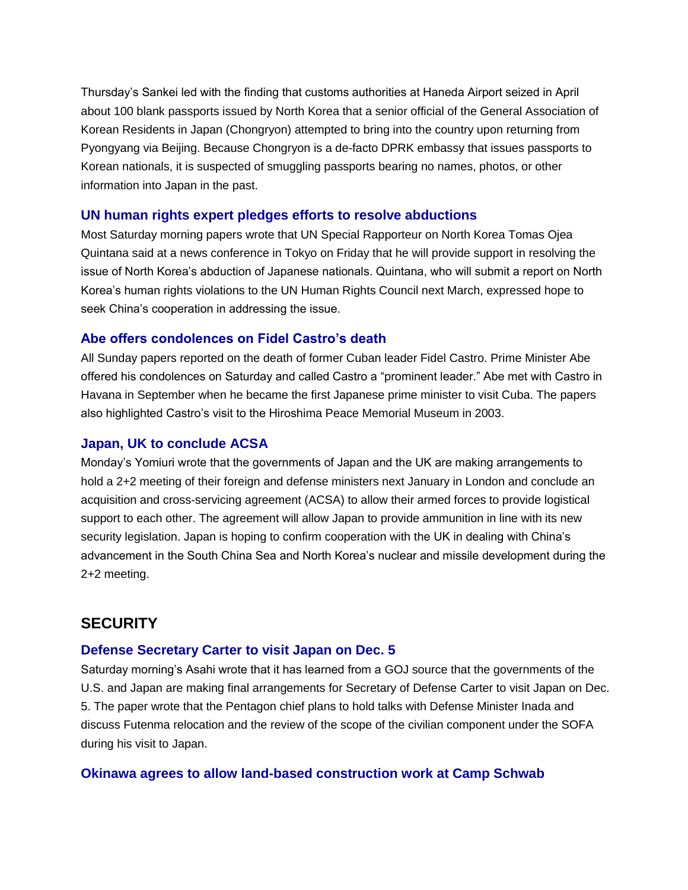Thursday's Sankei led with the finding that customs authorities at Haneda Airport seized in April about 100 blank passports issued by North Korea that a senior official of the General Association of Korean Residents in Japan (Chongryon) attempted to bring into the country upon returning from Pyongyang via Beijing. Because Chongryon is a de-facto DPRK embassy that issues passports to Korean nationals, it is suspected of smuggling passports bearing no names, photos, or other information into Japan in the past.

#### **UN human rights expert pledges efforts to resolve abductions**

Most Saturday morning papers wrote that UN Special Rapporteur on North Korea Tomas Ojea Quintana said at a news conference in Tokyo on Friday that he will provide support in resolving the issue of North Korea's abduction of Japanese nationals. Quintana, who will submit a report on North Korea's human rights violations to the UN Human Rights Council next March, expressed hope to seek China's cooperation in addressing the issue.

#### **Abe offers condolences on Fidel Castro's death**

All Sunday papers reported on the death of former Cuban leader Fidel Castro. Prime Minister Abe offered his condolences on Saturday and called Castro a "prominent leader." Abe met with Castro in Havana in September when he became the first Japanese prime minister to visit Cuba. The papers also highlighted Castro's visit to the Hiroshima Peace Memorial Museum in 2003.

#### **Japan, UK to conclude ACSA**

Monday's Yomiuri wrote that the governments of Japan and the UK are making arrangements to hold a 2+2 meeting of their foreign and defense ministers next January in London and conclude an acquisition and cross-servicing agreement (ACSA) to allow their armed forces to provide logistical support to each other. The agreement will allow Japan to provide ammunition in line with its new security legislation. Japan is hoping to confirm cooperation with the UK in dealing with China's advancement in the South China Sea and North Korea's nuclear and missile development during the 2+2 meeting.

## **SECURITY**

#### **Defense Secretary Carter to visit Japan on Dec. 5**

Saturday morning's Asahi wrote that it has learned from a GOJ source that the governments of the U.S. and Japan are making final arrangements for Secretary of Defense Carter to visit Japan on Dec. 5. The paper wrote that the Pentagon chief plans to hold talks with Defense Minister Inada and discuss Futenma relocation and the review of the scope of the civilian component under the SOFA during his visit to Japan.

#### **Okinawa agrees to allow land-based construction work at Camp Schwab**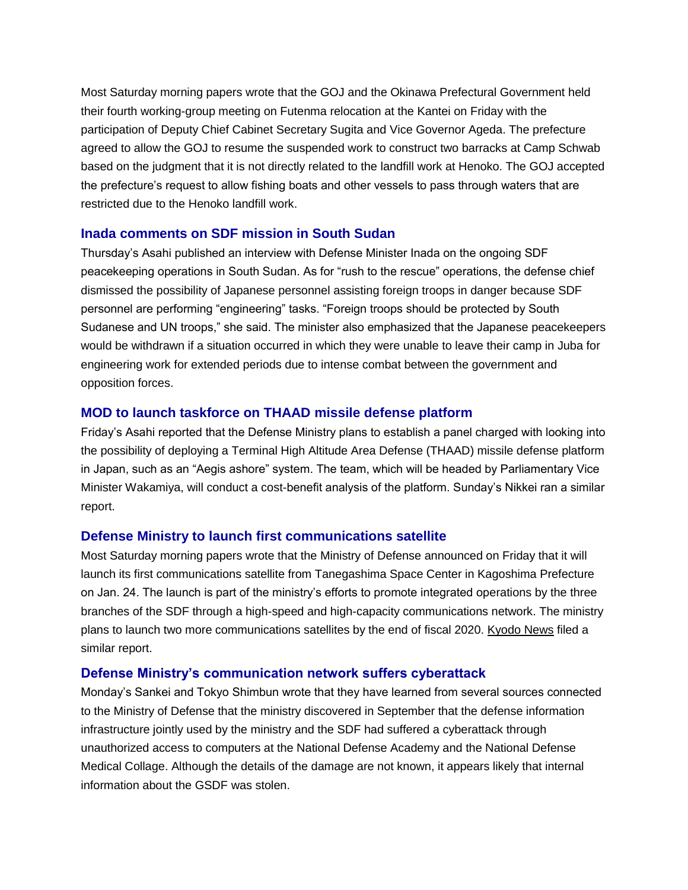Most Saturday morning papers wrote that the GOJ and the Okinawa Prefectural Government held their fourth working-group meeting on Futenma relocation at the Kantei on Friday with the participation of Deputy Chief Cabinet Secretary Sugita and Vice Governor Ageda. The prefecture agreed to allow the GOJ to resume the suspended work to construct two barracks at Camp Schwab based on the judgment that it is not directly related to the landfill work at Henoko. The GOJ accepted the prefecture's request to allow fishing boats and other vessels to pass through waters that are restricted due to the Henoko landfill work.

#### **Inada comments on SDF mission in South Sudan**

Thursday's Asahi published an interview with Defense Minister Inada on the ongoing SDF peacekeeping operations in South Sudan. As for "rush to the rescue" operations, the defense chief dismissed the possibility of Japanese personnel assisting foreign troops in danger because SDF personnel are performing "engineering" tasks. "Foreign troops should be protected by South Sudanese and UN troops," she said. The minister also emphasized that the Japanese peacekeepers would be withdrawn if a situation occurred in which they were unable to leave their camp in Juba for engineering work for extended periods due to intense combat between the government and opposition forces.

## **MOD to launch taskforce on THAAD missile defense platform**

Friday's Asahi reported that the Defense Ministry plans to establish a panel charged with looking into the possibility of deploying a Terminal High Altitude Area Defense (THAAD) missile defense platform in Japan, such as an "Aegis ashore" system. The team, which will be headed by Parliamentary Vice Minister Wakamiya, will conduct a cost-benefit analysis of the platform. Sunday's Nikkei ran a similar report.

## **Defense Ministry to launch first communications satellite**

Most Saturday morning papers wrote that the Ministry of Defense announced on Friday that it will launch its first communications satellite from Tanegashima Space Center in Kagoshima Prefecture on Jan. 24. The launch is part of the ministry's efforts to promote integrated operations by the three branches of the SDF through a high-speed and high-capacity communications network. The ministry plans to launch two more communications satellites by the end of fiscal 2020. [Kyodo](https://jmh.usembassy.gov/2016112710294/) News filed a similar report.

## **Defense Ministry's communication network suffers cyberattack**

Monday's Sankei and Tokyo Shimbun wrote that they have learned from several sources connected to the Ministry of Defense that the ministry discovered in September that the defense information infrastructure jointly used by the ministry and the SDF had suffered a cyberattack through unauthorized access to computers at the National Defense Academy and the National Defense Medical Collage. Although the details of the damage are not known, it appears likely that internal information about the GSDF was stolen.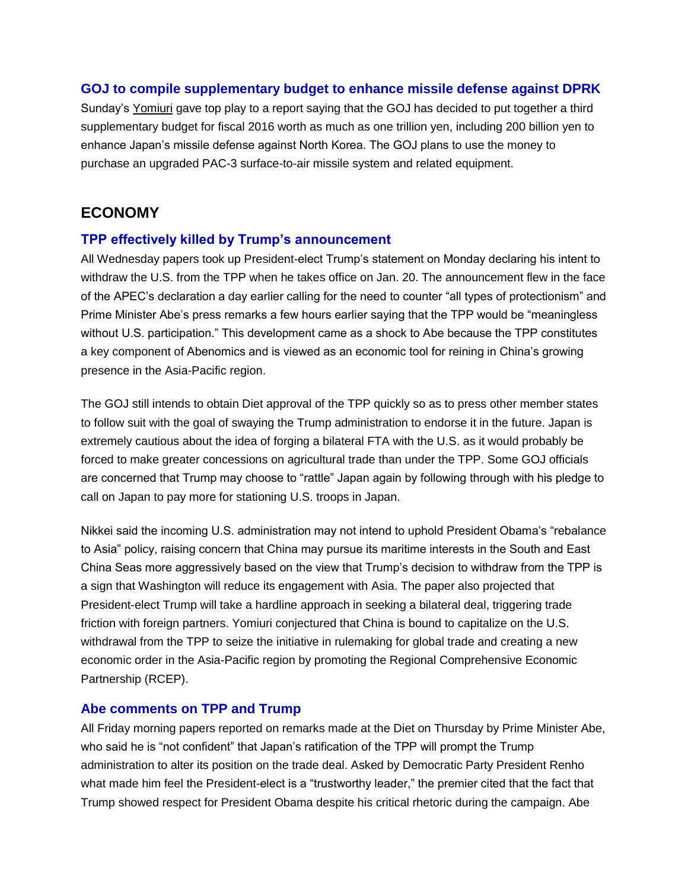## **GOJ to compile supplementary budget to enhance missile defense against DPRK**

Sunday's [Yomiuri](https://jmh.usembassy.gov/2016112810297/) gave top play to a report saying that the GOJ has decided to put together a third supplementary budget for fiscal 2016 worth as much as one trillion yen, including 200 billion yen to enhance Japan's missile defense against North Korea. The GOJ plans to use the money to purchase an upgraded PAC-3 surface-to-air missile system and related equipment.

## **ECONOMY**

## **TPP effectively killed by Trump's announcement**

All Wednesday papers took up President-elect Trump's statement on Monday declaring his intent to withdraw the U.S. from the TPP when he takes office on Jan. 20. The announcement flew in the face of the APEC's declaration a day earlier calling for the need to counter "all types of protectionism" and Prime Minister Abe's press remarks a few hours earlier saying that the TPP would be "meaningless without U.S. participation." This development came as a shock to Abe because the TPP constitutes a key component of Abenomics and is viewed as an economic tool for reining in China's growing presence in the Asia-Pacific region.

The GOJ still intends to obtain Diet approval of the TPP quickly so as to press other member states to follow suit with the goal of swaying the Trump administration to endorse it in the future. Japan is extremely cautious about the idea of forging a bilateral FTA with the U.S. as it would probably be forced to make greater concessions on agricultural trade than under the TPP. Some GOJ officials are concerned that Trump may choose to "rattle" Japan again by following through with his pledge to call on Japan to pay more for stationing U.S. troops in Japan.

Nikkei said the incoming U.S. administration may not intend to uphold President Obama's "rebalance to Asia" policy, raising concern that China may pursue its maritime interests in the South and East China Seas more aggressively based on the view that Trump's decision to withdraw from the TPP is a sign that Washington will reduce its engagement with Asia. The paper also projected that President-elect Trump will take a hardline approach in seeking a bilateral deal, triggering trade friction with foreign partners. Yomiuri conjectured that China is bound to capitalize on the U.S. withdrawal from the TPP to seize the initiative in rulemaking for global trade and creating a new economic order in the Asia-Pacific region by promoting the Regional Comprehensive Economic Partnership (RCEP).

## **Abe comments on TPP and Trump**

All Friday morning papers reported on remarks made at the Diet on Thursday by Prime Minister Abe, who said he is "not confident" that Japan's ratification of the TPP will prompt the Trump administration to alter its position on the trade deal. Asked by Democratic Party President Renho what made him feel the President-elect is a "trustworthy leader," the premier cited that the fact that Trump showed respect for President Obama despite his critical rhetoric during the campaign. Abe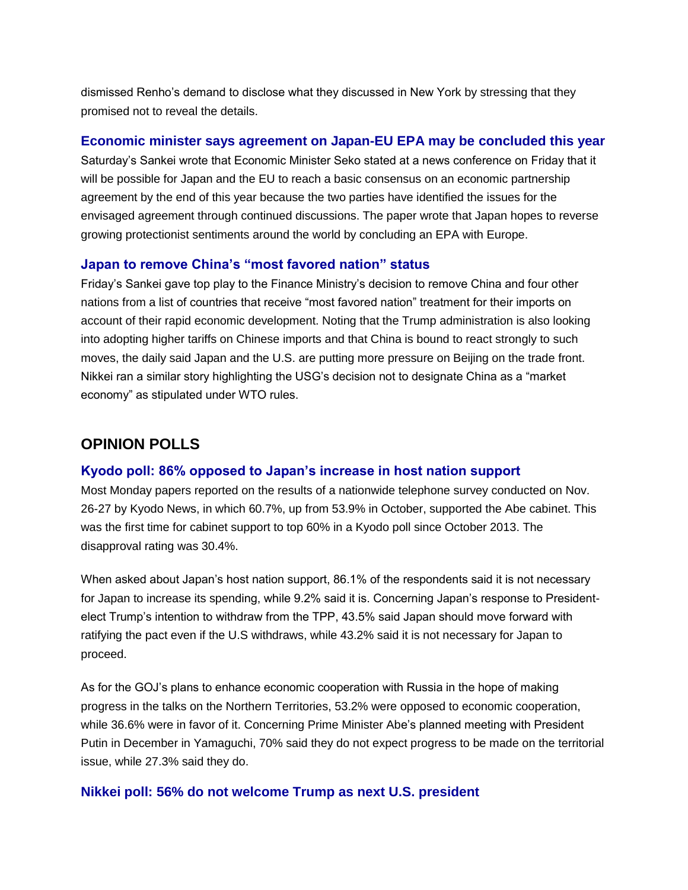dismissed Renho's demand to disclose what they discussed in New York by stressing that they promised not to reveal the details.

## **Economic minister says agreement on Japan-EU EPA may be concluded this year**

Saturday's Sankei wrote that Economic Minister Seko stated at a news conference on Friday that it will be possible for Japan and the EU to reach a basic consensus on an economic partnership agreement by the end of this year because the two parties have identified the issues for the envisaged agreement through continued discussions. The paper wrote that Japan hopes to reverse growing protectionist sentiments around the world by concluding an EPA with Europe.

## **Japan to remove China's "most favored nation" status**

Friday's Sankei gave top play to the Finance Ministry's decision to remove China and four other nations from a list of countries that receive "most favored nation" treatment for their imports on account of their rapid economic development. Noting that the Trump administration is also looking into adopting higher tariffs on Chinese imports and that China is bound to react strongly to such moves, the daily said Japan and the U.S. are putting more pressure on Beijing on the trade front. Nikkei ran a similar story highlighting the USG's decision not to designate China as a "market economy" as stipulated under WTO rules.

# **OPINION POLLS**

## **Kyodo poll: 86% opposed to Japan's increase in host nation support**

Most Monday papers reported on the results of a nationwide telephone survey conducted on Nov. 26-27 by Kyodo News, in which 60.7%, up from 53.9% in October, supported the Abe cabinet. This was the first time for cabinet support to top 60% in a Kyodo poll since October 2013. The disapproval rating was 30.4%.

When asked about Japan's host nation support, 86.1% of the respondents said it is not necessary for Japan to increase its spending, while 9.2% said it is. Concerning Japan's response to Presidentelect Trump's intention to withdraw from the TPP, 43.5% said Japan should move forward with ratifying the pact even if the U.S withdraws, while 43.2% said it is not necessary for Japan to proceed.

As for the GOJ's plans to enhance economic cooperation with Russia in the hope of making progress in the talks on the Northern Territories, 53.2% were opposed to economic cooperation, while 36.6% were in favor of it. Concerning Prime Minister Abe's planned meeting with President Putin in December in Yamaguchi, 70% said they do not expect progress to be made on the territorial issue, while 27.3% said they do.

## **Nikkei poll: 56% do not welcome Trump as next U.S. president**